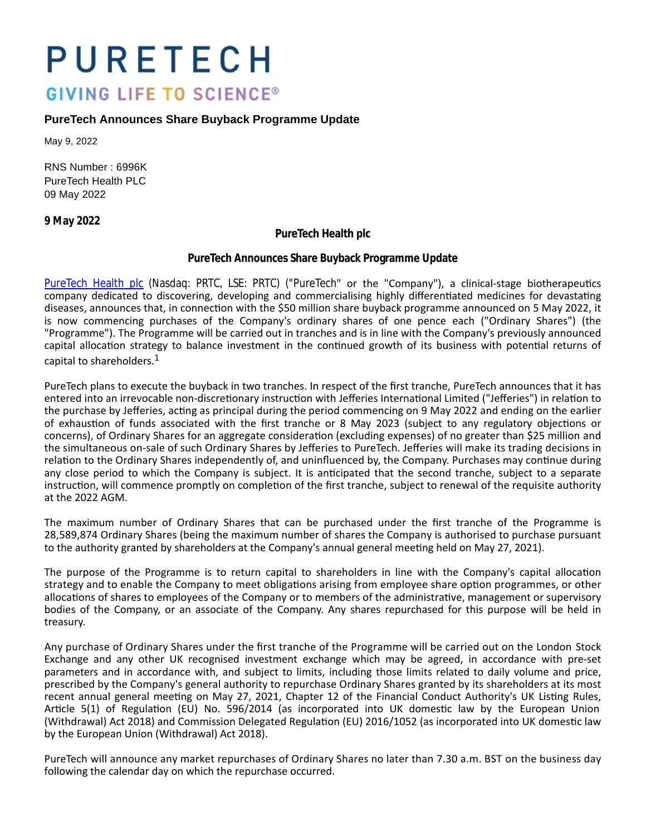# PURETECH **GIVING LIFE TO SCIENCE®**

## **PureTech Announces Share Buyback Programme Update**

May 9, 2022

RNS Number : 6996K PureTech Health PLC 09 May 2022

**9 May 2022**

**PureTech Health plc**

### **PureTech Announces Share Buyback Programme Update**

[PureTech Health plc](https://puretechhealth.com/) (Nasdaq: PRTC, LSE: PRTC) ("PureTech" or the "Company"), a clinical-stage biotherapeutics company dedicated to discovering, developing and commercialising highly differentiated medicines for devastating diseases, announces that, in connection with the \$50 million share buyback programme announced on 5 May 2022, it is now commencing purchases of the Company's ordinary shares of one pence each ("Ordinary Shares") (the "Programme"). The Programme will be carried out in tranches and is in line with the Company's previously announced capital allocation strategy to balance investment in the continued growth of its business with potential returns of capital to shareholders.<sup>1</sup>

PureTech plans to execute the buyback in two tranches. In respect of the first tranche, PureTech announces that it has entered into an irrevocable non-discretionary instruction with Jefferies International Limited ("Jefferies") in relation to the purchase by Jefferies, acting as principal during the period commencing on 9 May 2022 and ending on the earlier of exhaustion of funds associated with the first tranche or 8 May 2023 (subject to any regulatory objections or concerns), of Ordinary Shares for an aggregate consideration (excluding expenses) of no greater than \$25 million and the simultaneous on-sale of such Ordinary Shares by Jefferies to PureTech. Jefferies will make its trading decisions in relation to the Ordinary Shares independently of, and uninfluenced by, the Company. Purchases may continue during any close period to which the Company is subject. It is anticipated that the second tranche, subject to a separate instruction, will commence promptly on completion of the first tranche, subject to renewal of the requisite authority at the 2022 AGM.

The maximum number of Ordinary Shares that can be purchased under the first tranche of the Programme is 28,589,874 Ordinary Shares (being the maximum number of shares the Company is authorised to purchase pursuant to the authority granted by shareholders at the Company's annual general meeting held on May 27, 2021).

The purpose of the Programme is to return capital to shareholders in line with the Company's capital allocation strategy and to enable the Company to meet obligations arising from employee share option programmes, or other allocations of shares to employees of the Company or to members of the administrative, management or supervisory bodies of the Company, or an associate of the Company. Any shares repurchased for this purpose will be held in treasury.

Any purchase of Ordinary Shares under the first tranche of the Programme will be carried out on the London Stock Exchange and any other UK recognised investment exchange which may be agreed, in accordance with pre-set parameters and in accordance with, and subject to limits, including those limits related to daily volume and price, prescribed by the Company's general authority to repurchase Ordinary Shares granted by its shareholders at its most recent annual general meeting on May 27, 2021, Chapter 12 of the Financial Conduct Authority's UK Listing Rules, Article 5(1) of Regulation (EU) No. 596/2014 (as incorporated into UK domestic law by the European Union (Withdrawal) Act 2018) and Commission Delegated Regulation (EU) 2016/1052 (as incorporated into UK domestic law by the European Union (Withdrawal) Act 2018).

PureTech will announce any market repurchases of Ordinary Shares no later than 7.30 a.m. BST on the business day following the calendar day on which the repurchase occurred.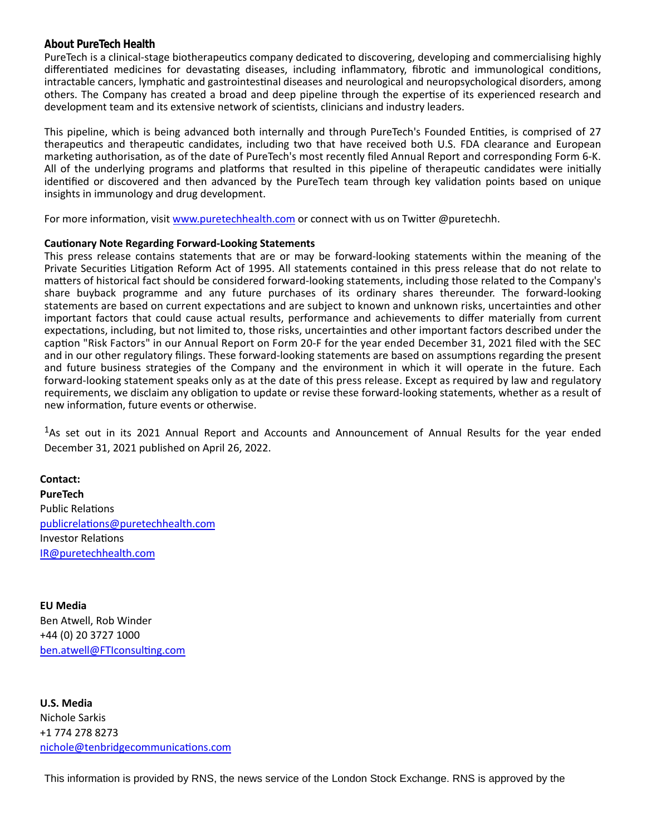### **About PureTech Health**

PureTech is a clinical-stage biotherapeutics company dedicated to discovering, developing and commercialising highly differentiated medicines for devastating diseases, including inflammatory, fibrotic and immunological conditions, intractable cancers, lymphatic and gastrointestinal diseases and neurological and neuropsychological disorders, among others. The Company has created a broad and deep pipeline through the expertise of its experienced research and development team and its extensive network of scientists, clinicians and industry leaders.

This pipeline, which is being advanced both internally and through PureTech's Founded Entities, is comprised of 27 therapeutics and therapeutic candidates, including two that have received both U.S. FDA clearance and European marketing authorisation, as of the date of PureTech's most recently filed Annual Report and corresponding Form 6-K. All of the underlying programs and platforms that resulted in this pipeline of therapeutic candidates were initially identified or discovered and then advanced by the PureTech team through key validation points based on unique insights in immunology and drug development.

For more information, visit [www.puretechhealth.com o](http://www.puretechhealth.com/)r connect with us on Twitter @puretechh.

#### **Cautionary Note Regarding Forward-Looking Statements**

This press release contains statements that are or may be forward-looking statements within the meaning of the Private Securities Litigation Reform Act of 1995. All statements contained in this press release that do not relate to matters of historical fact should be considered forward-looking statements, including those related to the Company's share buyback programme and any future purchases of its ordinary shares thereunder. The forward-looking statements are based on current expectations and are subject to known and unknown risks, uncertainties and other important factors that could cause actual results, performance and achievements to differ materially from current expectations, including, but not limited to, those risks, uncertainties and other important factors described under the caption "Risk Factors" in our Annual Report on Form 20-F for the year ended December 31, 2021 filed with the SEC and in our other regulatory filings. These forward-looking statements are based on assumptions regarding the present and future business strategies of the Company and the environment in which it will operate in the future. Each forward-looking statement speaks only as at the date of this press release. Except as required by law and regulatory requirements, we disclaim any obligation to update or revise these forward-looking statements, whether as a result of new information, future events or otherwise.

<sup>1</sup>As set out in its 2021 Annual Report and Accounts and Announcement of Annual Results for the year ended December 31, 2021 published on April 26, 2022.

**Contact: PureTech** Public Relations [publicrelaƟons@puretechhealth.com](mailto:publicrelations@puretechhealth.com) Investor Relations [IR@puretechhealth.com](mailto:IR@puretechhealth.com)

**EU Media** Ben Atwell, Rob Winder +44 (0) 20 3727 1000 ben.atwell@FTIconsulting.com

**U.S. Media** Nichole Sarkis +1 774 278 8273 nichole@tenbridgecommunications.com

This information is provided by RNS, the news service of the London Stock Exchange. RNS is approved by the